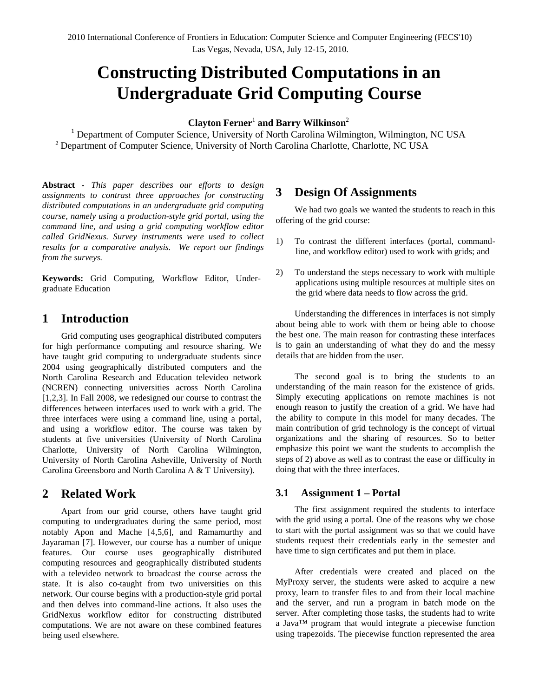# **Constructing Distributed Computations in an Undergraduate Grid Computing Course**

# **Clayton Ferner**<sup>1</sup> **and Barry Wilkinson**<sup>2</sup>

<sup>1</sup> Department of Computer Science, University of North Carolina Wilmington, Wilmington, NC USA <sup>2</sup> Department of Computer Science, University of North Carolina Charlotte, Charlotte, NC USA

**Abstract** *- This paper describes our efforts to design assignments to contrast three approaches for constructing distributed computations in an undergraduate grid computing course, namely using a production-style grid portal, using the command line, and using a grid computing workflow editor called GridNexus. Survey instruments were used to collect results for a comparative analysis. We report our findings from the surveys.*

**Keywords:** Grid Computing, Workflow Editor, Undergraduate Education

# **1 Introduction**

Grid computing uses geographical distributed computers for high performance computing and resource sharing. We have taught grid computing to undergraduate students since 2004 using geographically distributed computers and the North Carolina Research and Education televideo network (NCREN) connecting universities across North Carolina [1,2,3]. In Fall 2008, we redesigned our course to contrast the differences between interfaces used to work with a grid. The three interfaces were using a command line, using a portal, and using a workflow editor. The course was taken by students at five universities (University of North Carolina Charlotte, University of North Carolina Wilmington, University of North Carolina Asheville, University of North Carolina Greensboro and North Carolina A & T University).

# **2 Related Work**

Apart from our grid course, others have taught grid computing to undergraduates during the same period, most notably Apon and Mache [4,5,6], and Ramamurthy and Jayaraman [7]. However, our course has a number of unique features. Our course uses geographically distributed computing resources and geographically distributed students with a televideo network to broadcast the course across the state. It is also co-taught from two universities on this network. Our course begins with a production-style grid portal and then delves into command-line actions. It also uses the GridNexus workflow editor for constructing distributed computations. We are not aware on these combined features being used elsewhere.

# **3 Design Of Assignments**

We had two goals we wanted the students to reach in this offering of the grid course:

- 1) To contrast the different interfaces (portal, commandline, and workflow editor) used to work with grids; and
- 2) To understand the steps necessary to work with multiple applications using multiple resources at multiple sites on the grid where data needs to flow across the grid.

Understanding the differences in interfaces is not simply about being able to work with them or being able to choose the best one. The main reason for contrasting these interfaces is to gain an understanding of what they do and the messy details that are hidden from the user.

The second goal is to bring the students to an understanding of the main reason for the existence of grids. Simply executing applications on remote machines is not enough reason to justify the creation of a grid. We have had the ability to compute in this model for many decades. The main contribution of grid technology is the concept of virtual organizations and the sharing of resources. So to better emphasize this point we want the students to accomplish the steps of 2) above as well as to contrast the ease or difficulty in doing that with the three interfaces.

## **3.1 Assignment 1 – Portal**

The first assignment required the students to interface with the grid using a portal. One of the reasons why we chose to start with the portal assignment was so that we could have students request their credentials early in the semester and have time to sign certificates and put them in place.

After credentials were created and placed on the MyProxy server, the students were asked to acquire a new proxy, learn to transfer files to and from their local machine and the server, and run a program in batch mode on the server. After completing those tasks, the students had to write a Java™ program that would integrate a piecewise function using trapezoids. The piecewise function represented the area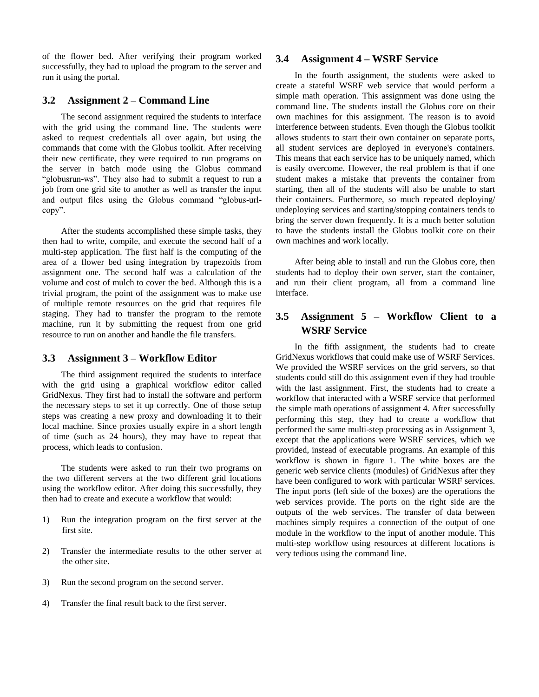of the flower bed. After verifying their program worked successfully, they had to upload the program to the server and run it using the portal.

### **3.2 Assignment 2 – Command Line**

The second assignment required the students to interface with the grid using the command line. The students were asked to request credentials all over again, but using the commands that come with the Globus toolkit. After receiving their new certificate, they were required to run programs on the server in batch mode using the Globus command "globusrun-ws". They also had to submit a request to run a job from one grid site to another as well as transfer the input and output files using the Globus command "globus-urlcopy".

After the students accomplished these simple tasks, they then had to write, compile, and execute the second half of a multi-step application. The first half is the computing of the area of a flower bed using integration by trapezoids from assignment one. The second half was a calculation of the volume and cost of mulch to cover the bed. Although this is a trivial program, the point of the assignment was to make use of multiple remote resources on the grid that requires file staging. They had to transfer the program to the remote machine, run it by submitting the request from one grid resource to run on another and handle the file transfers.

### **3.3 Assignment 3 – Workflow Editor**

The third assignment required the students to interface with the grid using a graphical workflow editor called GridNexus. They first had to install the software and perform the necessary steps to set it up correctly. One of those setup steps was creating a new proxy and downloading it to their local machine. Since proxies usually expire in a short length of time (such as 24 hours), they may have to repeat that process, which leads to confusion.

The students were asked to run their two programs on the two different servers at the two different grid locations using the workflow editor. After doing this successfully, they then had to create and execute a workflow that would:

- 1) Run the integration program on the first server at the first site.
- 2) Transfer the intermediate results to the other server at the other site.
- 3) Run the second program on the second server.
- 4) Transfer the final result back to the first server.

### **3.4 Assignment 4 – WSRF Service**

In the fourth assignment, the students were asked to create a stateful WSRF web service that would perform a simple math operation. This assignment was done using the command line. The students install the Globus core on their own machines for this assignment. The reason is to avoid interference between students. Even though the Globus toolkit allows students to start their own container on separate ports, all student services are deployed in everyone's containers. This means that each service has to be uniquely named, which is easily overcome. However, the real problem is that if one student makes a mistake that prevents the container from starting, then all of the students will also be unable to start their containers. Furthermore, so much repeated deploying/ undeploying services and starting/stopping containers tends to bring the server down frequently. It is a much better solution to have the students install the Globus toolkit core on their own machines and work locally.

After being able to install and run the Globus core, then students had to deploy their own server, start the container, and run their client program, all from a command line interface.

# **3.5 Assignment 5 – Workflow Client to a WSRF Service**

In the fifth assignment, the students had to create GridNexus workflows that could make use of WSRF Services. We provided the WSRF services on the grid servers, so that students could still do this assignment even if they had trouble with the last assignment. First, the students had to create a workflow that interacted with a WSRF service that performed the simple math operations of assignment 4. After successfully performing this step, they had to create a workflow that performed the same multi-step processing as in Assignment 3, except that the applications were WSRF services, which we provided, instead of executable programs. An example of this workflow is shown in figure 1. The white boxes are the generic web service clients (modules) of GridNexus after they have been configured to work with particular WSRF services. The input ports (left side of the boxes) are the operations the web services provide. The ports on the right side are the outputs of the web services. The transfer of data between machines simply requires a connection of the output of one module in the workflow to the input of another module. This multi-step workflow using resources at different locations is very tedious using the command line.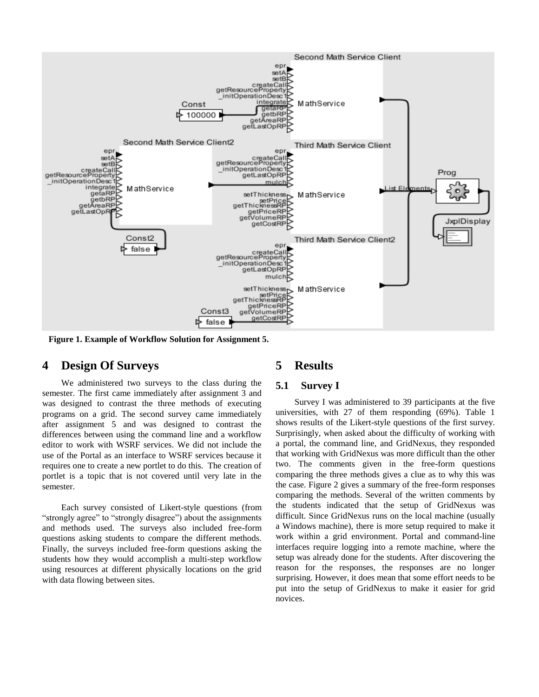

**Figure 1. Example of Workflow Solution for Assignment 5.**

### **4 Design Of Surveys**

We administered two surveys to the class during the semester. The first came immediately after assignment 3 and was designed to contrast the three methods of executing programs on a grid. The second survey came immediately after assignment 5 and was designed to contrast the differences between using the command line and a workflow editor to work with WSRF services. We did not include the use of the Portal as an interface to WSRF services because it requires one to create a new portlet to do this. The creation of portlet is a topic that is not covered until very late in the semester.

Each survey consisted of Likert-style questions (from "strongly agree" to "strongly disagree" about the assignments and methods used. The surveys also included free-form questions asking students to compare the different methods. Finally, the surveys included free-form questions asking the students how they would accomplish a multi-step workflow using resources at different physically locations on the grid with data flowing between sites.

# **5 Results**

#### **5.1 Survey I**

Survey I was administered to 39 participants at the five universities, with 27 of them responding (69%). Table 1 shows results of the Likert-style questions of the first survey. Surprisingly, when asked about the difficulty of working with a portal, the command line, and GridNexus, they responded that working with GridNexus was more difficult than the other two. The comments given in the free-form questions comparing the three methods gives a clue as to why this was the case. Figure 2 gives a summary of the free-form responses comparing the methods. Several of the written comments by the students indicated that the setup of GridNexus was difficult. Since GridNexus runs on the local machine (usually a Windows machine), there is more setup required to make it work within a grid environment. Portal and command-line interfaces require logging into a remote machine, where the setup was already done for the students. After discovering the reason for the responses, the responses are no longer surprising. However, it does mean that some effort needs to be put into the setup of GridNexus to make it easier for grid novices.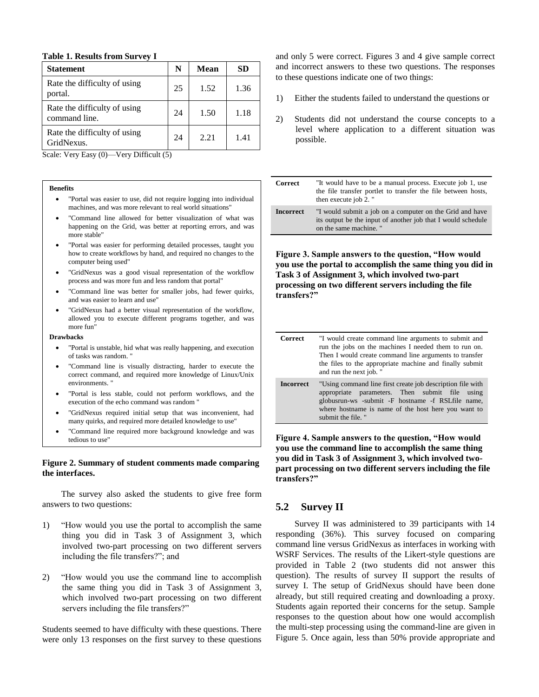#### **Table 1. Results from Survey I**

| <b>Statement</b>                              | N  | Mean | SD   |
|-----------------------------------------------|----|------|------|
| Rate the difficulty of using<br>portal.       | 25 | 1.52 | 1.36 |
| Rate the difficulty of using<br>command line. | 24 | 1.50 | 1.18 |
| Rate the difficulty of using<br>GridNexus.    | 24 | 2.21 | 1.41 |

Scale: Very Easy (0)—Very Difficult (5)

#### **Benefits**

- "Portal was easier to use, did not require logging into individual machines, and was more relevant to real world situations"
- "Command line allowed for better visualization of what was happening on the Grid, was better at reporting errors, and was more stable"
- "Portal was easier for performing detailed processes, taught you how to create workflows by hand, and required no changes to the computer being used"
- "GridNexus was a good visual representation of the workflow process and was more fun and less random that portal"
- "Command line was better for smaller jobs, had fewer quirks, and was easier to learn and use"
- "GridNexus had a better visual representation of the workflow, allowed you to execute different programs together, and was more fun"

#### **Drawbacks**

- "Portal is unstable, hid what was really happening, and execution of tasks was random. "
- "Command line is visually distracting, harder to execute the correct command, and required more knowledge of Linux/Unix environments. "
- "Portal is less stable, could not perform workflows, and the execution of the echo command was random "
- "GridNexus required initial setup that was inconvenient, had many quirks, and required more detailed knowledge to use"
- "Command line required more background knowledge and was tedious to use"

# **Figure 2. Summary of student comments made comparing the interfaces.**

The survey also asked the students to give free form answers to two questions:

- 1) "How would you use the portal to accomplish the same thing you did in Task 3 of Assignment 3, which involved two-part processing on two different servers including the file transfers?"; and
- 2) "How would you use the command line to accomplish the same thing you did in Task 3 of Assignment 3, which involved two-part processing on two different servers including the file transfers?"

Students seemed to have difficulty with these questions. There were only 13 responses on the first survey to these questions and only 5 were correct. Figures 3 and 4 give sample correct and incorrect answers to these two questions. The responses to these questions indicate one of two things:

- 1) Either the students failed to understand the questions or
- 2) Students did not understand the course concepts to a level where application to a different situation was possible.

| <b>Correct</b>   | "It would have to be a manual process. Execute job 1, use<br>the file transfer portlet to transfer the file between hosts,<br>then execute job 2. " |
|------------------|-----------------------------------------------------------------------------------------------------------------------------------------------------|
| <b>Incorrect</b> | "I would submit a job on a computer on the Grid and have<br>its output be the input of another job that I would schedule<br>on the same machine. "  |

**Figure 3. Sample answers to the question, "How would you use the portal to accomplish the same thing you did in Task 3 of Assignment 3, which involved two-part processing on two different servers including the file transfers?"**

| <b>Correct</b>   | "I would create command line arguments to submit and<br>run the jobs on the machines I needed them to run on.<br>Then I would create command line arguments to transfer<br>the files to the appropriate machine and finally submit<br>and run the next job." |
|------------------|--------------------------------------------------------------------------------------------------------------------------------------------------------------------------------------------------------------------------------------------------------------|
| <b>Incorrect</b> | "Using command line first create job description file with<br>appropriate parameters. Then submit file using<br>globusrun-ws -submit -F hostname -f RSLfile name,<br>where hostname is name of the host here you want to<br>submit the file. "               |

**Figure 4. Sample answers to the question, "How would you use the command line to accomplish the same thing you did in Task 3 of Assignment 3, which involved twopart processing on two different servers including the file transfers?"**

### **5.2 Survey II**

Survey II was administered to 39 participants with 14 responding (36%). This survey focused on comparing command line versus GridNexus as interfaces in working with WSRF Services. The results of the Likert-style questions are provided in Table 2 (two students did not answer this question). The results of survey II support the results of survey I. The setup of GridNexus should have been done already, but still required creating and downloading a proxy. Students again reported their concerns for the setup. Sample responses to the question about how one would accomplish the multi-step processing using the command-line are given in Figure 5. Once again, less than 50% provide appropriate and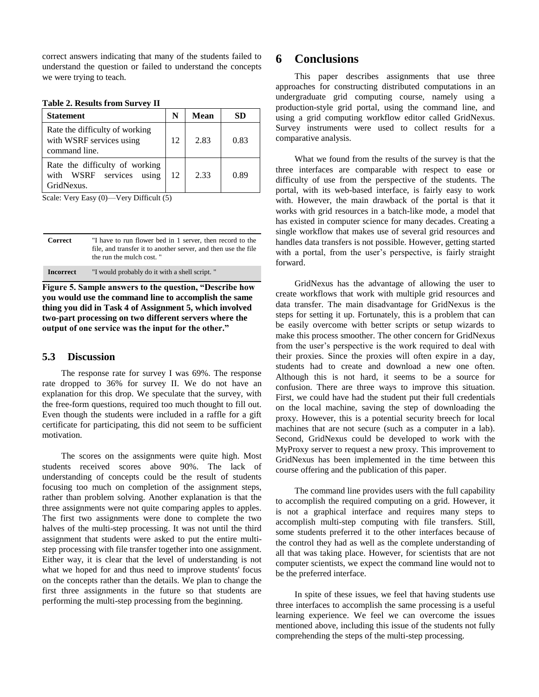correct answers indicating that many of the students failed to understand the question or failed to understand the concepts we were trying to teach.

|  |  |  |  | <b>Table 2. Results from Survey II</b> |  |
|--|--|--|--|----------------------------------------|--|
|--|--|--|--|----------------------------------------|--|

| <b>Statement</b>                                                            | N  | <b>Mean</b> | SD   |
|-----------------------------------------------------------------------------|----|-------------|------|
| Rate the difficulty of working<br>with WSRF services using<br>command line. | 12 | 2.83        | 0.83 |
| Rate the difficulty of working<br>with WSRF services using<br>GridNexus.    | 12 | 2.33        | 0.89 |

Scale: Very Easy (0)—Very Difficult (5)

| Correct          | "I have to run flower bed in 1 server, then record to the<br>file, and transfer it to another server, and then use the file<br>the run the mulch cost. " |
|------------------|----------------------------------------------------------------------------------------------------------------------------------------------------------|
| <b>Incorrect</b> | "I would probably do it with a shell script."                                                                                                            |

**Figure 5. Sample answers to the question, "Describe how you would use the command line to accomplish the same thing you did in Task 4 of Assignment 5, which involved two-part processing on two different servers where the output of one service was the input for the other."**

### **5.3 Discussion**

The response rate for survey I was 69%. The response rate dropped to 36% for survey II. We do not have an explanation for this drop. We speculate that the survey, with the free-form questions, required too much thought to fill out. Even though the students were included in a raffle for a gift certificate for participating, this did not seem to be sufficient motivation.

The scores on the assignments were quite high. Most students received scores above 90%. The lack of understanding of concepts could be the result of students focusing too much on completion of the assignment steps, rather than problem solving. Another explanation is that the three assignments were not quite comparing apples to apples. The first two assignments were done to complete the two halves of the multi-step processing. It was not until the third assignment that students were asked to put the entire multistep processing with file transfer together into one assignment. Either way, it is clear that the level of understanding is not what we hoped for and thus need to improve students' focus on the concepts rather than the details. We plan to change the first three assignments in the future so that students are performing the multi-step processing from the beginning.

# **6 Conclusions**

This paper describes assignments that use three approaches for constructing distributed computations in an undergraduate grid computing course, namely using a production-style grid portal, using the command line, and using a grid computing workflow editor called GridNexus. Survey instruments were used to collect results for a comparative analysis.

What we found from the results of the survey is that the three interfaces are comparable with respect to ease or difficulty of use from the perspective of the students. The portal, with its web-based interface, is fairly easy to work with. However, the main drawback of the portal is that it works with grid resources in a batch-like mode, a model that has existed in computer science for many decades. Creating a single workflow that makes use of several grid resources and handles data transfers is not possible. However, getting started with a portal, from the user's perspective, is fairly straight forward.

GridNexus has the advantage of allowing the user to create workflows that work with multiple grid resources and data transfer. The main disadvantage for GridNexus is the steps for setting it up. Fortunately, this is a problem that can be easily overcome with better scripts or setup wizards to make this process smoother. The other concern for GridNexus from the user's perspective is the work required to deal with their proxies. Since the proxies will often expire in a day, students had to create and download a new one often. Although this is not hard, it seems to be a source for confusion. There are three ways to improve this situation. First, we could have had the student put their full credentials on the local machine, saving the step of downloading the proxy. However, this is a potential security breech for local machines that are not secure (such as a computer in a lab). Second, GridNexus could be developed to work with the MyProxy server to request a new proxy. This improvement to GridNexus has been implemented in the time between this course offering and the publication of this paper.

The command line provides users with the full capability to accomplish the required computing on a grid. However, it is not a graphical interface and requires many steps to accomplish multi-step computing with file transfers. Still, some students preferred it to the other interfaces because of the control they had as well as the complete understanding of all that was taking place. However, for scientists that are not computer scientists, we expect the command line would not to be the preferred interface.

In spite of these issues, we feel that having students use three interfaces to accomplish the same processing is a useful learning experience. We feel we can overcome the issues mentioned above, including this issue of the students not fully comprehending the steps of the multi-step processing.